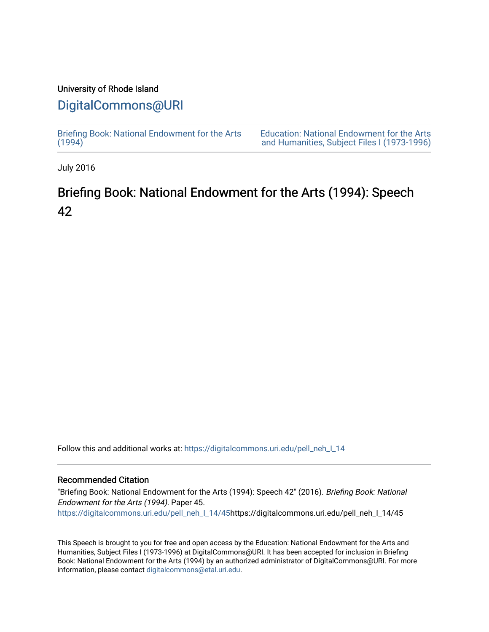## University of Rhode Island

## [DigitalCommons@URI](https://digitalcommons.uri.edu/)

[Briefing Book: National Endowment for the Arts](https://digitalcommons.uri.edu/pell_neh_I_14)  $(1994)$ 

[Education: National Endowment for the Arts](https://digitalcommons.uri.edu/pell_neh_I)  [and Humanities, Subject Files I \(1973-1996\)](https://digitalcommons.uri.edu/pell_neh_I) 

July 2016

## Briefing Book: National Endowment for the Arts (1994): Speech 42

Follow this and additional works at: [https://digitalcommons.uri.edu/pell\\_neh\\_I\\_14](https://digitalcommons.uri.edu/pell_neh_I_14?utm_source=digitalcommons.uri.edu%2Fpell_neh_I_14%2F45&utm_medium=PDF&utm_campaign=PDFCoverPages) 

## Recommended Citation

"Briefing Book: National Endowment for the Arts (1994): Speech 42" (2016). Briefing Book: National Endowment for the Arts (1994). Paper 45. [https://digitalcommons.uri.edu/pell\\_neh\\_I\\_14/45h](https://digitalcommons.uri.edu/pell_neh_I_14/45?utm_source=digitalcommons.uri.edu%2Fpell_neh_I_14%2F45&utm_medium=PDF&utm_campaign=PDFCoverPages)ttps://digitalcommons.uri.edu/pell\_neh\_I\_14/45

This Speech is brought to you for free and open access by the Education: National Endowment for the Arts and Humanities, Subject Files I (1973-1996) at DigitalCommons@URI. It has been accepted for inclusion in Briefing Book: National Endowment for the Arts (1994) by an authorized administrator of DigitalCommons@URI. For more information, please contact [digitalcommons@etal.uri.edu.](mailto:digitalcommons@etal.uri.edu)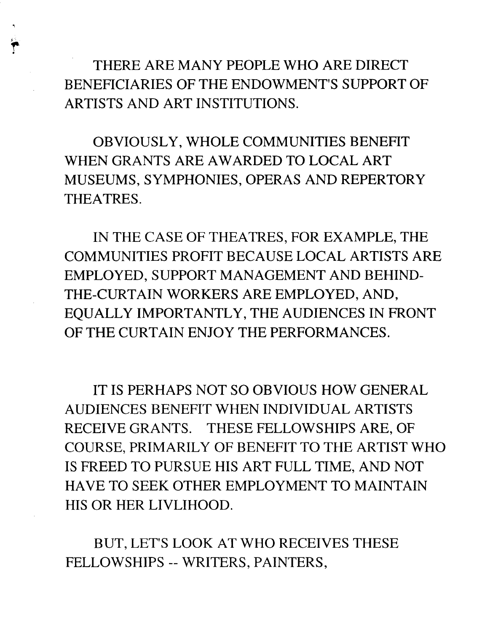THERE ARE MANY PEOPLE WHO ARE DIRECT BENEFICIARIES OF THE ENDOWMENT'S SUPPORT OF ARTISTS AND ART INSTITUTIONS.

OBVIOUSLY, WHOLE COMMUNITIES BENEFIT WHEN GRANTS ARE AWARDED TO LOCAL ART MUSEUMS, SYMPHONIES, OPERAS AND REPERTORY THEATRES.

IN THE CASE OF THEATRES, FOR EXAMPLE, THE COMMUNITIES PROFIT BECAUSE LOCAL ARTISTS ARE EMPLOYED, SUPPORT MANAGEMENT AND BEHIND-THE-CURTAIN WORKERS ARE EMPLOYED, AND, EQUALLY IMPORTANTLY, THE AUDIENCES IN FRONT OF THE CURTAIN ENJOY THE PERFORMANCES.

IT IS PERHAPS NOT SO OBVIOUS HOW GENERAL AUDIENCES BENEFIT WHEN INDIVIDUAL ARTISTS RECEIVE GRANTS. THESE FELLOWSHIPS ARE, OF COURSE, PRIMARILY OF BENEFIT TO THE ARTIST WHO IS FREED TO PURSUE HIS ART FULL TIME, AND NOT HAVE TO SEEK OTHER EMPLOYMENT TO MAINTAIN HIS OR HER LIVLIHOOD.

BUT, LET'S LOOK AT WHO RECEIVES THESE FELLOWSHIPS -- WRITERS, PAINTERS,